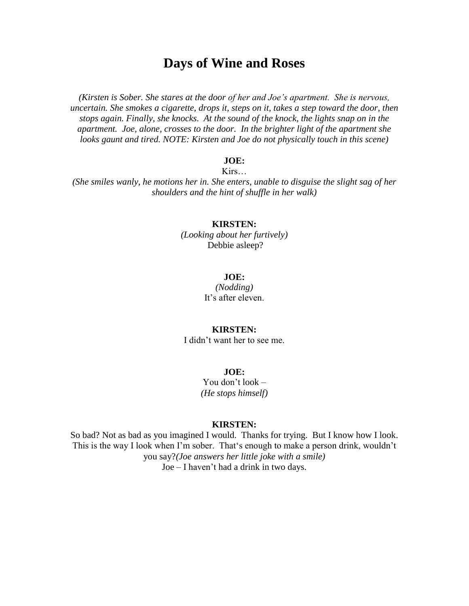# **Days of Wine and Roses**

*(Kirsten is Sober. She stares at the door of her and Joe's apartment. She is nervous, uncertain. She smokes a cigarette, drops it, steps on it, takes a step toward the door, then stops again. Finally, she knocks. At the sound of the knock, the lights snap on in the apartment. Joe, alone, crosses to the door. In the brighter light of the apartment she looks gaunt and tired. NOTE: Kirsten and Joe do not physically touch in this scene)*

# **JOE:**

Kirs…

*(She smiles wanly, he motions her in. She enters, unable to disguise the slight sag of her shoulders and the hint of shuffle in her walk)*

#### **KIRSTEN:**

*(Looking about her furtively)* Debbie asleep?

#### **JOE:**

*(Nodding)* It's after eleven.

#### **KIRSTEN:**

I didn't want her to see me.

# **JOE:**

You don't look – *(He stops himself)*

#### **KIRSTEN:**

So bad? Not as bad as you imagined I would. Thanks for trying. But I know how I look. This is the way I look when I'm sober. That's enough to make a person drink, wouldn't you say?*(Joe answers her little joke with a smile)*  Joe – I haven't had a drink in two days.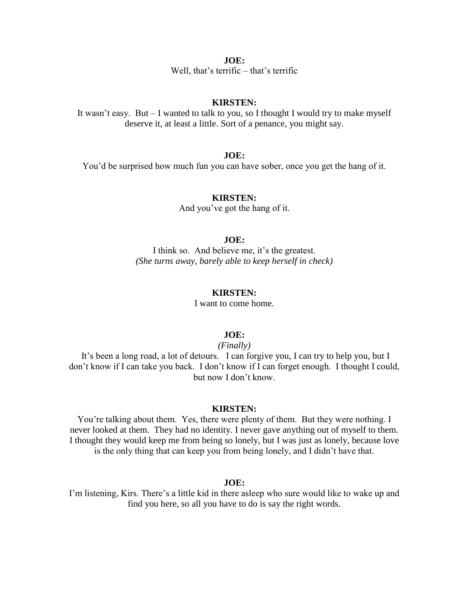Well, that's terrific – that's terrific

# **KIRSTEN:**

It wasn't easy. But – I wanted to talk to you, so I thought I would try to make myself deserve it, at least a little. Sort of a penance, you might say.

## **JOE:**

You'd be surprised how much fun you can have sober, once you get the hang of it.

# **KIRSTEN:**

And you've got the hang of it.

# **JOE:**

I think so. And believe me, it's the greatest. *(She turns away, barely able to keep herself in check)*

#### **KIRSTEN:**

I want to come home.

#### **JOE:**

*(Finally)*

It's been a long road, a lot of detours. I can forgive you, I can try to help you, but I don't know if I can take you back. I don't know if I can forget enough. I thought I could, but now I don't know.

#### **KIRSTEN:**

You're talking about them. Yes, there were plenty of them. But they were nothing. I never looked at them. They had no identity. I never gave anything out of myself to them. I thought they would keep me from being so lonely, but I was just as lonely, because love is the only thing that can keep you from being lonely, and I didn't have that.

# **JOE:**

I'm listening, Kirs. There's a little kid in there asleep who sure would like to wake up and find you here, so all you have to do is say the right words.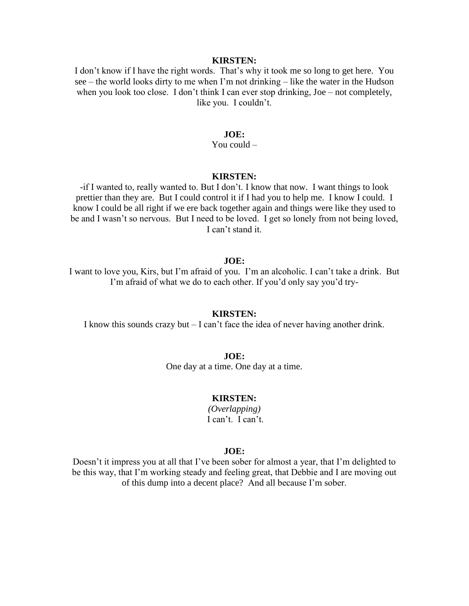### **KIRSTEN:**

I don't know if I have the right words. That's why it took me so long to get here. You see – the world looks dirty to me when I'm not drinking – like the water in the Hudson when you look too close. I don't think I can ever stop drinking, Joe – not completely, like you. I couldn't.

# **JOE:**

You could –

# **KIRSTEN:**

-if I wanted to, really wanted to. But I don't. I know that now. I want things to look prettier than they are. But I could control it if I had you to help me. I know I could. I know I could be all right if we ere back together again and things were like they used to be and I wasn't so nervous. But I need to be loved. I get so lonely from not being loved, I can't stand it.

#### **JOE:**

I want to love you, Kirs, but I'm afraid of you. I'm an alcoholic. I can't take a drink. But I'm afraid of what we do to each other. If you'd only say you'd try-

#### **KIRSTEN:**

I know this sounds crazy but – I can't face the idea of never having another drink.

**JOE:** One day at a time. One day at a time.

#### **KIRSTEN:**

*(Overlapping)* I can't. I can't.

#### **JOE:**

Doesn't it impress you at all that I've been sober for almost a year, that I'm delighted to be this way, that I'm working steady and feeling great, that Debbie and I are moving out of this dump into a decent place? And all because I'm sober.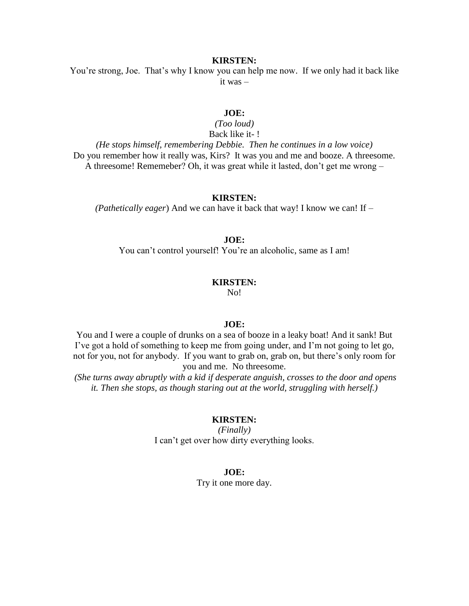# **KIRSTEN:**

You're strong, Joe. That's why I know you can help me now. If we only had it back like it was –

# **JOE:**

*(Too loud)*  Back like it- !

*(He stops himself, remembering Debbie. Then he continues in a low voice)*  Do you remember how it really was, Kirs? It was you and me and booze. A threesome. A threesome! Rememeber? Oh, it was great while it lasted, don't get me wrong –

### **KIRSTEN:**

*(Pathetically eager*) And we can have it back that way! I know we can! If –

#### **JOE:**

You can't control yourself! You're an alcoholic, same as I am!

#### **KIRSTEN:**

No!

# **JOE:**

You and I were a couple of drunks on a sea of booze in a leaky boat! And it sank! But I've got a hold of something to keep me from going under, and I'm not going to let go, not for you, not for anybody. If you want to grab on, grab on, but there's only room for you and me. No threesome.

*(She turns away abruptly with a kid if desperate anguish, crosses to the door and opens it. Then she stops, as though staring out at the world, struggling with herself.)*

#### **KIRSTEN:**

*(Finally)*  I can't get over how dirty everything looks.

# **JOE:**

Try it one more day.